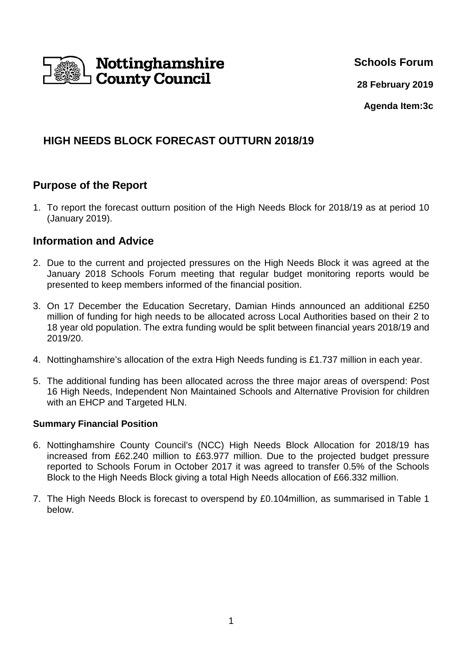

**Schools Forum**

**28 February 2019**

**Agenda Item:3c**

# **HIGH NEEDS BLOCK FORECAST OUTTURN 2018/19**

# **Purpose of the Report**

1. To report the forecast outturn position of the High Needs Block for 2018/19 as at period 10 (January 2019).

## **Information and Advice**

- 2. Due to the current and projected pressures on the High Needs Block it was agreed at the January 2018 Schools Forum meeting that regular budget monitoring reports would be presented to keep members informed of the financial position.
- 3. On 17 December the Education Secretary, Damian Hinds announced an additional £250 million of funding for high needs to be allocated across Local Authorities based on their 2 to 18 year old population. The extra funding would be split between financial years 2018/19 and 2019/20.
- 4. Nottinghamshire's allocation of the extra High Needs funding is £1.737 million in each year.
- 5. The additional funding has been allocated across the three major areas of overspend: Post 16 High Needs, Independent Non Maintained Schools and Alternative Provision for children with an EHCP and Targeted HLN.

### **Summary Financial Position**

- 6. Nottinghamshire County Council's (NCC) High Needs Block Allocation for 2018/19 has increased from £62.240 million to £63.977 million. Due to the projected budget pressure reported to Schools Forum in October 2017 it was agreed to transfer 0.5% of the Schools Block to the High Needs Block giving a total High Needs allocation of £66.332 million.
- 7. The High Needs Block is forecast to overspend by £0.104million, as summarised in Table 1 below.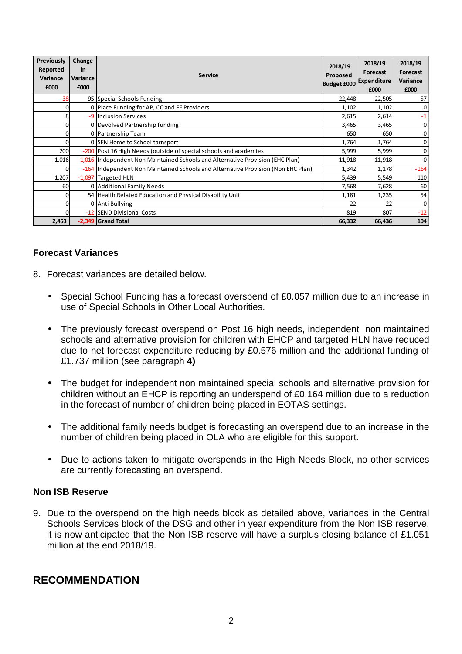| Previously<br>Reported<br>Variance<br>£000 | Change<br>in<br>Variance<br>£000 | <b>Service</b>                                                                   | 2018/19<br>Proposed<br><b>Budget £000</b> | 2018/19<br>Forecast<br>Expenditure<br>£000 | 2018/19<br>Forecast<br>Variance<br>£000 |
|--------------------------------------------|----------------------------------|----------------------------------------------------------------------------------|-------------------------------------------|--------------------------------------------|-----------------------------------------|
| $-38$                                      |                                  | 95 Special Schools Funding                                                       | 22,448                                    | 22,505                                     | 57                                      |
|                                            |                                  | 0 Place Funding for AP, CC and FE Providers                                      | 1,102                                     | 1,102                                      | 0                                       |
| 8                                          |                                  | -9 Inclusion Services                                                            | 2,615                                     | 2,614                                      | $-1$                                    |
| 0                                          |                                  | 0 Devolved Partnership funding                                                   | 3,465                                     | 3,465                                      | 0                                       |
| 0                                          |                                  | 0 Partnership Team                                                               | 650                                       | 650                                        | 0                                       |
| 0                                          |                                  | 0 SEN Home to School tarnsport                                                   | 1,764                                     | 1,764                                      | 0                                       |
| 200                                        |                                  | -200   Post 16 High Needs (outside of special schools and academies              | 5,999                                     | 5,999                                      | 0                                       |
| 1,016                                      |                                  | -1,016 Independent Non Maintained Schools and Alternative Provision (EHC Plan)   | 11,918                                    | 11,918                                     | $\mathbf 0$                             |
| 0                                          |                                  | -164 Independent Non Maintained Schools and Alternative Provision (Non EHC Plan) | 1,342                                     | 1,178                                      | $-164$                                  |
| 1,207                                      |                                  | -1,097 Targeted HLN                                                              | 5,439                                     | 5,549                                      | 110                                     |
| 60                                         |                                  | 0 Additional Family Needs                                                        | 7,568                                     | 7,628                                      | 60                                      |
| 0                                          |                                  | 54 Health Related Education and Physical Disability Unit                         | 1,181                                     | 1,235                                      | 54                                      |
|                                            |                                  | 0 Anti Bullying                                                                  | 22                                        | 22                                         | 0                                       |
|                                            |                                  | -12 SEND Divisional Costs                                                        | 819                                       | 807                                        | $-12$                                   |
| 2,453                                      |                                  | -2,349 Grand Total                                                               | 66,332                                    | 66,436                                     | 104                                     |

#### **Forecast Variances**

- 8. Forecast variances are detailed below.
	- Special School Funding has a forecast overspend of £0.057 million due to an increase in use of Special Schools in Other Local Authorities.
	- The previously forecast overspend on Post 16 high needs, independent non maintained schools and alternative provision for children with EHCP and targeted HLN have reduced due to net forecast expenditure reducing by £0.576 million and the additional funding of £1.737 million (see paragraph **4)**
	- The budget for independent non maintained special schools and alternative provision for children without an EHCP is reporting an underspend of £0.164 million due to a reduction in the forecast of number of children being placed in EOTAS settings.
	- The additional family needs budget is forecasting an overspend due to an increase in the number of children being placed in OLA who are eligible for this support.
	- Due to actions taken to mitigate overspends in the High Needs Block, no other services are currently forecasting an overspend.

#### **Non ISB Reserve**

9. Due to the overspend on the high needs block as detailed above, variances in the Central Schools Services block of the DSG and other in year expenditure from the Non ISB reserve, it is now anticipated that the Non ISB reserve will have a surplus closing balance of £1.051 million at the end 2018/19.

## **RECOMMENDATION**